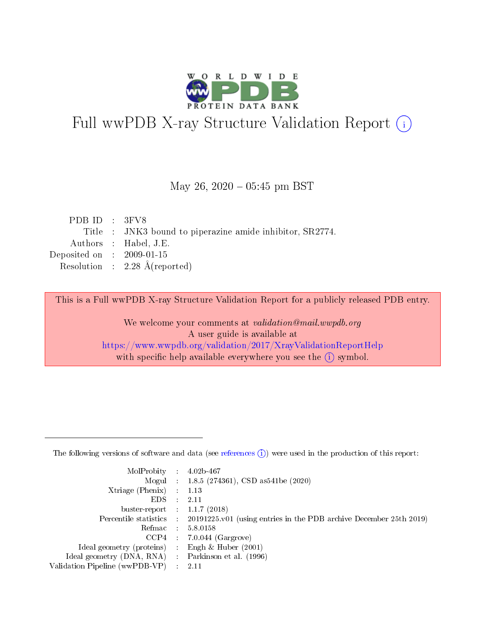

# Full wwPDB X-ray Structure Validation Report (i)

#### May 26,  $2020 - 05:45$  pm BST

| PDBID : 3FV8                |                                                           |
|-----------------------------|-----------------------------------------------------------|
|                             | Title : JNK3 bound to piperazine amide inhibitor, SR2774. |
|                             | Authors : Habel, J.E.                                     |
| Deposited on : $2009-01-15$ |                                                           |
|                             | Resolution : $2.28 \text{ Å}$ (reported)                  |
|                             |                                                           |

This is a Full wwPDB X-ray Structure Validation Report for a publicly released PDB entry.

We welcome your comments at validation@mail.wwpdb.org A user guide is available at <https://www.wwpdb.org/validation/2017/XrayValidationReportHelp> with specific help available everywhere you see the  $(i)$  symbol.

The following versions of software and data (see [references](https://www.wwpdb.org/validation/2017/XrayValidationReportHelp#references)  $(1)$ ) were used in the production of this report:

| MolProbity :                   |               | $4.02b - 467$                                                               |
|--------------------------------|---------------|-----------------------------------------------------------------------------|
|                                |               | Mogul : $1.8.5$ (274361), CSD as 541be (2020)                               |
| $X$ triage (Phenix) :          |               | 1.13                                                                        |
| EDS.                           |               | 2.11                                                                        |
| buster-report : $1.1.7$ (2018) |               |                                                                             |
| Percentile statistics :        |               | $20191225 \text{v}01$ (using entries in the PDB archive December 25th 2019) |
| Refmac :                       |               | 5.8.0158                                                                    |
| $CCP4$ :                       |               | $7.0.044$ (Gargrove)                                                        |
| Ideal geometry (proteins) :    |               | Engh $\&$ Huber (2001)                                                      |
| Ideal geometry (DNA, RNA) :    |               | Parkinson et al. (1996)                                                     |
| Validation Pipeline (wwPDB-VP) | $\mathcal{L}$ | 2.11                                                                        |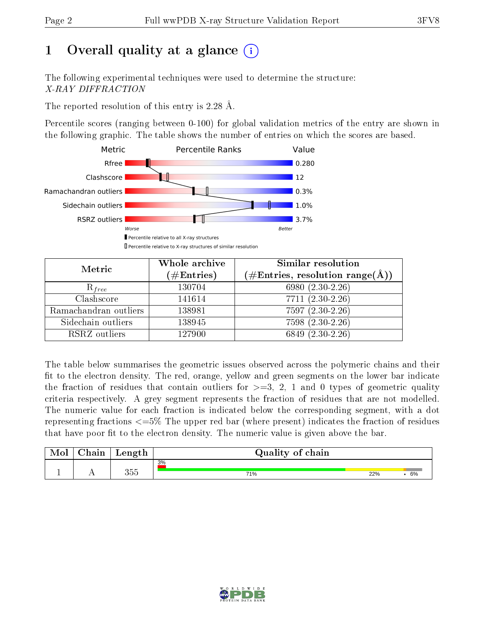# 1 [O](https://www.wwpdb.org/validation/2017/XrayValidationReportHelp#overall_quality)verall quality at a glance  $(i)$

The following experimental techniques were used to determine the structure: X-RAY DIFFRACTION

The reported resolution of this entry is 2.28 Å.

Percentile scores (ranging between 0-100) for global validation metrics of the entry are shown in the following graphic. The table shows the number of entries on which the scores are based.



| Metric                | Whole archive        | <b>Similar resolution</b>                                              |  |  |
|-----------------------|----------------------|------------------------------------------------------------------------|--|--|
|                       | $(\#\text{Entries})$ | $(\#\text{Entries},\, \text{resolution}\; \text{range}(\textup{\AA}))$ |  |  |
| $R_{free}$            | 130704               | 6980 $(2.30-2.26)$                                                     |  |  |
| Clashscore            | 141614               | $7711 (2.30 - 2.26)$                                                   |  |  |
| Ramachandran outliers | 138981               | $7597(2.30-2.26)$                                                      |  |  |
| Sidechain outliers    | 138945               | 7598 (2.30-2.26)                                                       |  |  |
| RSRZ outliers         | 127900               | 6849 (2.30-2.26)                                                       |  |  |

The table below summarises the geometric issues observed across the polymeric chains and their fit to the electron density. The red, orange, yellow and green segments on the lower bar indicate the fraction of residues that contain outliers for  $>=3, 2, 1$  and 0 types of geometric quality criteria respectively. A grey segment represents the fraction of residues that are not modelled. The numeric value for each fraction is indicated below the corresponding segment, with a dot representing fractions  $\epsilon=5\%$  The upper red bar (where present) indicates the fraction of residues that have poor fit to the electron density. The numeric value is given above the bar.

| Mol | $\cap$ hain | Length | Quality of chain |     |    |
|-----|-------------|--------|------------------|-----|----|
|     |             |        | 3%               |     |    |
|     |             | 355    | 71%              | 22% | 6% |

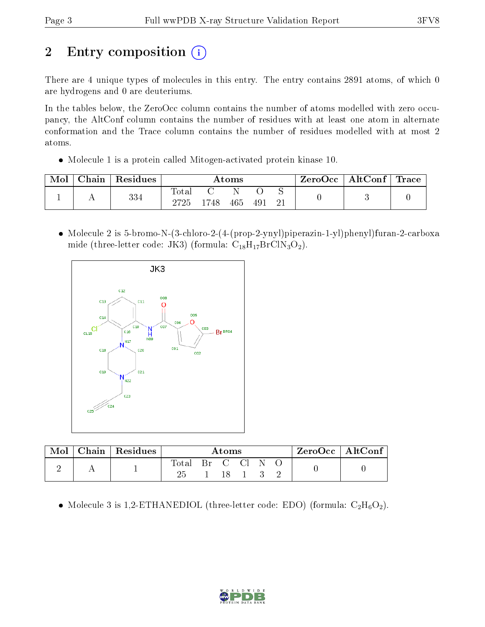# 2 Entry composition  $\left( \cdot \right)$

There are 4 unique types of molecules in this entry. The entry contains 2891 atoms, of which 0 are hydrogens and 0 are deuteriums.

In the tables below, the ZeroOcc column contains the number of atoms modelled with zero occupancy, the AltConf column contains the number of residues with at least one atom in alternate conformation and the Trace column contains the number of residues modelled with at most 2 atoms.

Molecule 1 is a protein called Mitogen-activated protein kinase 10.

| Mol | Chain | Residues | $\rm{Atoms}$               |      |     |               | ZeroOcc | $\mid$ AltConf $\mid$ Trace |  |  |
|-----|-------|----------|----------------------------|------|-----|---------------|---------|-----------------------------|--|--|
|     |       | 334      | $\hbox{Total}$<br>$2725\,$ | 1748 | 465 | $-49^{\circ}$ |         |                             |  |  |

 Molecule 2 is 5-bromo-N-(3-chloro-2-(4-(prop-2-ynyl)piperazin-1-yl)phenyl)furan-2-carboxa mide (three-letter code: JK3) (formula:  $C_{18}H_{17}BrClN_3O_2$ ).



| Mol | $Chain \,   \, Residues$ | Atoms |  |    |             |  | $\mathsf{ZeroOcc} \mid \mathsf{Alt}\overline{\mathsf{Conf}} \mid \mathsf{C}$ |  |  |
|-----|--------------------------|-------|--|----|-------------|--|------------------------------------------------------------------------------|--|--|
|     |                          | Total |  | 18 | Br C Cl N O |  |                                                                              |  |  |

• Molecule 3 is 1,2-ETHANEDIOL (three-letter code: EDO) (formula:  $C_2H_6O_2$ ).

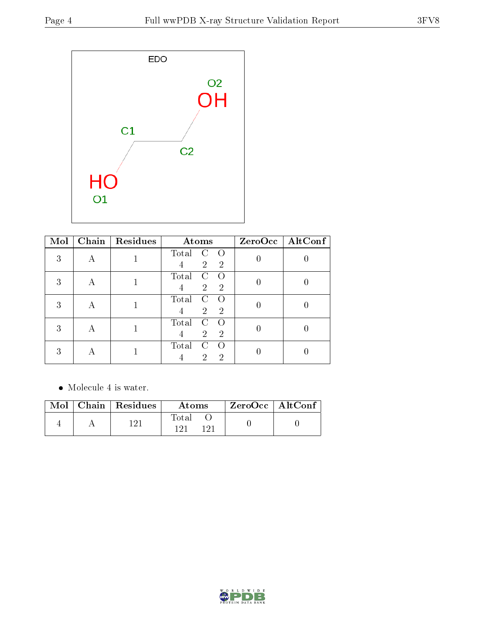

| Mol | Chain | Residues | Atoms                                                                   | ZeroOcc   AltConf |
|-----|-------|----------|-------------------------------------------------------------------------|-------------------|
| 3   |       |          | Total<br>$\left( \right)$<br>$\overline{2}$<br>$\overline{2}$<br>4      |                   |
| 3   | А     |          | Total<br>$\left( \right)$<br>€<br>$\overline{2}$<br>$\overline{2}$<br>4 |                   |
| 3   | А     |          | Total<br>$\overline{2}$<br>$\overline{2}$<br>4                          |                   |
| 3   | A     |          | Total<br>$\overline{2}$<br>$\overline{2}$<br>4                          |                   |
| 3   |       |          | Total<br>$\left( \right)$<br>റ<br>2                                     |                   |

Molecule 4 is water.

|  | $\text{Mol}$   Chain   Residues | Atoms                 | $\rm ZeroOcc$   Alt $\rm Conf$ |  |
|--|---------------------------------|-----------------------|--------------------------------|--|
|  |                                 | Total<br>1 ດາ<br>1 ດາ |                                |  |

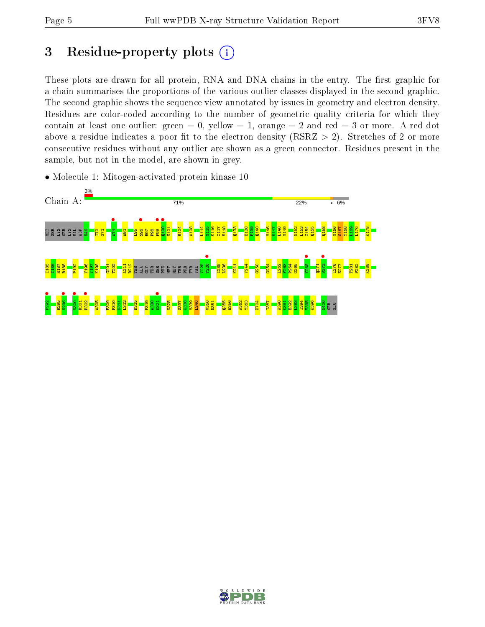# 3 Residue-property plots  $(i)$

These plots are drawn for all protein, RNA and DNA chains in the entry. The first graphic for a chain summarises the proportions of the various outlier classes displayed in the second graphic. The second graphic shows the sequence view annotated by issues in geometry and electron density. Residues are color-coded according to the number of geometric quality criteria for which they contain at least one outlier: green  $= 0$ , yellow  $= 1$ , orange  $= 2$  and red  $= 3$  or more. A red dot above a residue indicates a poor fit to the electron density (RSRZ  $> 2$ ). Stretches of 2 or more consecutive residues without any outlier are shown as a green connector. Residues present in the sample, but not in the model, are shown in grey.

• Molecule 1: Mitogen-activated protein kinase 10



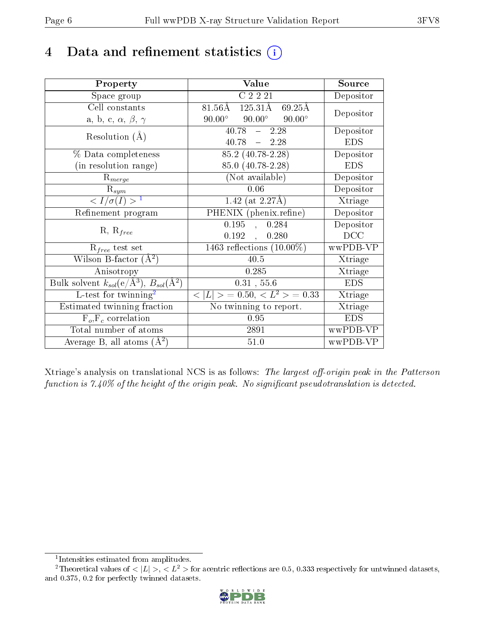## 4 Data and refinement statistics  $(i)$

| Property                                                   | Value                                              | Source     |
|------------------------------------------------------------|----------------------------------------------------|------------|
| Space group                                                | $\overline{C}$ 2 2 2 1                             | Depositor  |
| Cell constants                                             | 81.56Å 125.31Å 69.25Å                              | Depositor  |
| a, b, c, $\alpha$ , $\beta$ , $\gamma$                     | $90.00^{\circ}$<br>$90.00^{\circ}$ $90.00^{\circ}$ |            |
| Resolution $(A)$                                           | 40.78<br>$-2.28$                                   | Depositor  |
|                                                            | $40.78 - 2.28$                                     | <b>EDS</b> |
| $\%$ Data completeness                                     | $85.2(40.78-2.28)$                                 | Depositor  |
| (in resolution range)                                      | 85.0 (40.78-2.28)                                  | <b>EDS</b> |
| $R_{merge}$                                                | (Not available)                                    | Depositor  |
| $\mathrm{R}_{sym}$                                         | 0.06                                               | Depositor  |
| $\langle I/\sigma(I) \rangle^{-1}$                         | 1.42 (at $2.27\text{\AA}$ )                        | Xtriage    |
| Refinement program                                         | PHENIX (phenix.refine)                             | Depositor  |
|                                                            | 0.195<br>0.284<br>$\mathbf{A}$                     | Depositor  |
| $R, R_{free}$                                              | $0.192$ ,<br>0.280                                 | DCC        |
| $R_{free}$ test set                                        | 1463 reflections $(10.00\%)$                       | wwPDB-VP   |
| Wilson B-factor $(A^2)$                                    | 40.5                                               | Xtriage    |
| Anisotropy                                                 | 0.285                                              | Xtriage    |
| Bulk solvent $k_{sol}$ (e/Å <sup>3</sup> ), $B_{sol}(A^2)$ | 0.31, 55.6                                         | <b>EDS</b> |
| L-test for $\mathrm{twinning}^2$                           | $< L >$ = 0.50, $< L2$ > = 0.33                    | Xtriage    |
| Estimated twinning fraction                                | No twinning to report.                             | Xtriage    |
| $\overline{F_o}, \overline{F_c}$ correlation               | 0.95                                               | <b>EDS</b> |
| Total number of atoms                                      | 2891                                               | wwPDB-VP   |
| Average B, all atoms $(A^2)$                               | $51.0\,$                                           | wwPDB-VP   |

Xtriage's analysis on translational NCS is as follows: The largest off-origin peak in the Patterson function is  $7.40\%$  of the height of the origin peak. No significant pseudotranslation is detected.

<sup>&</sup>lt;sup>2</sup>Theoretical values of  $\langle |L| \rangle$ ,  $\langle L^2 \rangle$  for acentric reflections are 0.5, 0.333 respectively for untwinned datasets, and 0.375, 0.2 for perfectly twinned datasets.



<span id="page-5-1"></span><span id="page-5-0"></span><sup>1</sup> Intensities estimated from amplitudes.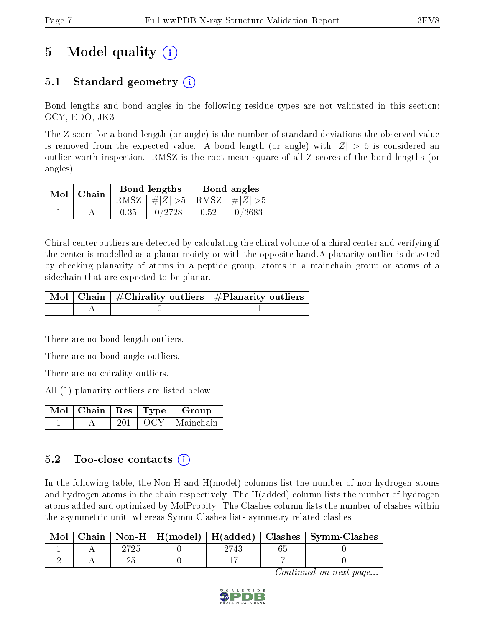## 5 Model quality  $(i)$

## 5.1 Standard geometry (i)

Bond lengths and bond angles in the following residue types are not validated in this section: OCY, EDO, JK3

The Z score for a bond length (or angle) is the number of standard deviations the observed value is removed from the expected value. A bond length (or angle) with  $|Z| > 5$  is considered an outlier worth inspection. RMSZ is the root-mean-square of all Z scores of the bond lengths (or angles).

| $Mol$   Chain |      | Bond lengths                    | Bond angles |        |  |
|---------------|------|---------------------------------|-------------|--------|--|
|               |      | RMSZ $ #Z  > 5$ RMSZ $ #Z  > 5$ |             |        |  |
|               | 0.35 | 0/2728                          | 0.52        | 0/3683 |  |

Chiral center outliers are detected by calculating the chiral volume of a chiral center and verifying if the center is modelled as a planar moiety or with the opposite hand.A planarity outlier is detected by checking planarity of atoms in a peptide group, atoms in a mainchain group or atoms of a sidechain that are expected to be planar.

|  | $\mid$ Mol $\mid$ Chain $\mid$ #Chirality outliers $\mid$ #Planarity outliers $\mid$ |
|--|--------------------------------------------------------------------------------------|
|  |                                                                                      |

There are no bond length outliers.

There are no bond angle outliers.

There are no chirality outliers.

All (1) planarity outliers are listed below:

| $\mid$ Mol $\mid$ Chain $\mid$ Res $\mid$ Type $\mid$ |         | Group     |
|-------------------------------------------------------|---------|-----------|
|                                                       | L OCY - | Mainchain |

### 5.2 Too-close contacts  $(i)$

In the following table, the Non-H and H(model) columns list the number of non-hydrogen atoms and hydrogen atoms in the chain respectively. The H(added) column lists the number of hydrogen atoms added and optimized by MolProbity. The Clashes column lists the number of clashes within the asymmetric unit, whereas Symm-Clashes lists symmetry related clashes.

| Mol |  |  | Chain   Non-H   H(model)   H(added)   Clashes   Symm-Clashes |
|-----|--|--|--------------------------------------------------------------|
|     |  |  |                                                              |
|     |  |  |                                                              |

Continued on next page...

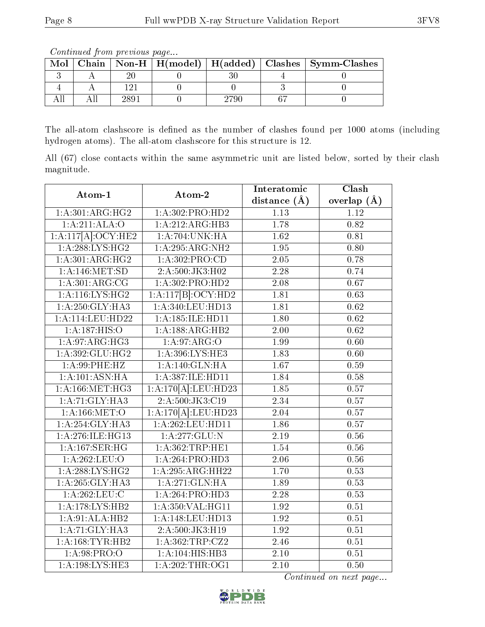The all-atom clashscore is defined as the number of clashes found per 1000 atoms (including hydrogen atoms). The all-atom clashscore for this structure is 12.

All (67) close contacts within the same asymmetric unit are listed below, sorted by their clash magnitude.

| Atom-1                                | Atom-2                            | Interatomic       | $\overline{\text{Clash}}$ |
|---------------------------------------|-----------------------------------|-------------------|---------------------------|
|                                       |                                   | distance $(\AA)$  | overlap $(\AA)$           |
| $1:A:301:A\overline{\mathrm{RG:HG2}}$ | 1: A:302: PRO:HD2                 | 1.13              | 1.12                      |
| 1:A:211:ALA:O                         | 1:A:212:ARG:HB3                   | 1.78              | 0.82                      |
| 1:A:117[A]:OCY:HE2                    | 1:A:704:UNK:HA                    | 1.62              | 0.81                      |
| 1:A:288:LYS:HG2                       | 1:A:295:ARG:NH2                   | 1.95              | 0.80                      |
| 1:A:301:ARG:HG2                       | 1:A:302:PRO:CD                    | 2.05              | 0.78                      |
| 1:A:146:MET:SD                        | 2:A:500:JK3:H02                   | $\overline{2.28}$ | 0.74                      |
| 1: A:301: ARG:CG                      | 1:A:302:PRO:HD2                   | 2.08              | 0.67                      |
| 1: A:116: LYS: HG2                    | 1:A:117[B]: <del>OCY:HD2</del>    | 1.81              | 0.63                      |
| 1:A:250:GLY:HA3                       | 1:A:340:LEU:HD13                  | 1.81              | $\overline{0.62}$         |
| 1:A:114:LEU:HD22                      | 1:A:185:ILE:HD11                  | 1.80              | 0.62                      |
| 1:A:187:HIS:O                         | 1:A:188:ARG:HB2                   | 2.00              | 0.62                      |
| 1:A.97:ARG:HG3                        | 1: A:97: ARG:O                    | 1.99              | 0.60                      |
| 1: A:392: GLU: HG2                    | 1:A:396:LYS:HE3                   | 1.83              | 0.60                      |
| $1: A:99:$ PHE:HZ                     | 1:A:140:GLN:HA                    | 1.67              | 0.59                      |
| 1: A: 101: ASN: HA                    | 1:A:387:ILE:HD11                  | 1.84              | 0.58                      |
| 1: A: 166: MET: HG3                   | $1:\overline{A:170[A]:}$ LEU:HD23 | 1.85              | 0.57                      |
| 1: A:71: GLY: HA3                     | 2: A: 500: JK3: C19               | 2.34              | 0.57                      |
| 1: A: 166: MET:O                      | 1:A:170[A]:LEU:HD23               | 2.04              | 0.57                      |
| 1: A:254: GLY:HA3                     | 1:A:262:LEU:HD11                  | 1.86              | 0.57                      |
| 1: A:276: ILE: HG13                   | 1: A:277: GLU:N                   | 2.19              | 0.56                      |
| 1:A:167:SER:HG                        | 1:A:362:TRP:HE1                   | 1.54              | 0.56                      |
| 1: A:262:LEU:O                        | 1:A:264:PRO:HD3                   | 2.06              | 0.56                      |
| 1: A:288: LYS: HG2                    | 1:A:295:ARG:HH22                  | 1.70              | 0.53                      |
| 1: A:265: GLY: HA3                    | $1:\overline{A:271:GLN:HA}$       | 1.89              | 0.53                      |
| 1: A:262:LEU:C                        | 1:A:264:PRO:HD3                   | 2.28              | 0.53                      |
| 1:A:178:LYS:HB2                       | 1:A:350:VAL:HG11                  | 1.92              | 0.51                      |
| 1:A:91:ALA:HB2                        | 1: A:148: LEU: HD13               | 1.92              | 0.51                      |
| 1:A:71:GLY:HA3                        | 2:A:500:JK3:H19                   | 1.92              | 0.51                      |
| 1: A: 168: TYR: HB2                   | 1: A:362:TRP:CZ2                  | 2.46              | 0.51                      |
| 1:A:98:PRO:O                          | 1:A:104:HIS:HB3                   | 2.10              | 0.51                      |
| 1: A:198:LYS:HE3                      | 1: A:202:THR:OG1                  | $\overline{2.10}$ | $\overline{0.50}$         |

Continued on next page...



Mol | Chain | Non-H | H(model) | H(added) | Clashes | Symm-Clashes  $3 \mid A \mid 20 \mid 0 \mid 30 \mid 4 \mid 0$ 4 | A | 121 | 0 | 0 | 3 | 0 All | All | 2891 | 0 | 2790 | 67 | 0

Continued from previous page...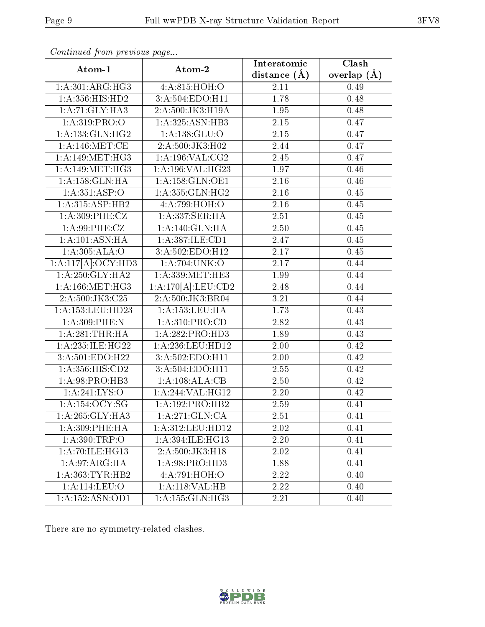| Atom-1              | Atom-2              | Interatomic    | Clash           |
|---------------------|---------------------|----------------|-----------------|
|                     |                     | distance $(A)$ | overlap $(\AA)$ |
| 1: A:301: ARG: HG3  | 4:A:815:HOH:O       | 2.11           | 0.49            |
| 1:A:356:HIS:HD2     | 3:A:504:EDO:H11     | 1.78           | 0.48            |
| 1: A:71: GLY: HA3   | 2:A:500:JK3:H19A    | 1.95           | 0.48            |
| 1:A:319:PRO:O       | 1:A:325:ASN:HB3     | $2.15\,$       | 0.47            |
| 1: A: 133: GLN: HG2 | 1: A: 138: GLU: O   | 2.15           | 0.47            |
| 1: A:146: MET:CE    | 2:A:500:JK3:H02     | 2.44           | 0.47            |
| 1:A:149:MET:HG3     | 1: A: 196: VAL: CG2 | 2.45           | 0.47            |
| 1: A:149:MET:HG3    | 1:A:196:VAL:HG23    | 1.97           | 0.46            |
| 1:A:158:GLN:HA      | 1: A: 158: GLN: OE1 | 2.16           | 0.46            |
| 1:A:351:ASP:O       | 1: A: 355: GLN: HG2 | 2.16           | 0.45            |
| 1:A:315:ASP:HB2     | 4:A:799:HOH:O       | 2.16           | 0.45            |
| 1: A:309: PHE: CZ   | 1:A:337:SER:HA      | 2.51           | 0.45            |
| 1:A:99:PHE:CZ       | 1:A:140:GLN:HA      | 2.50           | 0.45            |
| 1: A: 101: ASN: HA  | 1:A:387:ILE:CD1     | 2.47           | 0.45            |
| 1:A:305:ALA:O       | 3:A:502:EDO:H12     | 2.17           | 0.45            |
| 1:A:117[A]:OCY:HD3  | 1: A:704: UNK:O     | 2.17           | 0.44            |
| 1: A:250: GLY: HA2  | 1: A: 339: MET: HE3 | 1.99           | 0.44            |
| 1: A: 166: MET:HG3  | 1:A:170[A]:LEU:CD2  | 2.48           | 0.44            |
| 2:A:500:JK3:C25     | 2:A:500:JK3:BR04    | 3.21           | 0.44            |
| 1:A:153:LEU:HD23    | 1: A: 153: LEU: HA  | 1.73           | 0.43            |
| 1:A:309:PHE:N       | 1:A:310:PRO:CD      | 2.82           | 0.43            |
| 1:A:281:THR:HA      | 1: A:282: PRO:HD3   | 1.89           | 0.43            |
| 1:A:235:ILE:HG22    | 1:A:236:LEU:HD12    | 2.00           | 0.42            |
| 3:A:501:EDO:H22     | 3:A:502:EDO:H11     | 2.00           | 0.42            |
| 1:A:356:HIS:CD2     | 3:A:504:EDO:H11     | 2.55           | 0.42            |
| 1: A:98: PRO:HB3    | 1:A:108:ALA:CB      | 2.50           | 0.42            |
| 1: A:241:LYS:O      | 1:A:244:VAL:HG12    | 2.20           | 0.42            |
| 1: A: 154: OCY: SG  | 1:A:192:PRO:HB2     | 2.59           | 0.41            |
| 1:A:265:GLY:HA3     | 1: A:271: GLN:CA    | 2.51           | 0.41            |
| 1: A:309: PHE: HA   | 1:A:312:LEU:HD12    | 2.02           | 0.41            |
| 1: A:390:TRP:O      | 1:A:394:ILE:HG13    | 2.20           | 0.41            |
| 1: A:70: ILE: HG13  | 2:A:500:JK3:H18     | 2.02           | 0.41            |
| 1:A:97:ARG:HA       | 1: A:98: PRO:HD3    | 1.88           | 0.41            |
| 1: A: 363: TYR: HB2 | 4:A:791:HOH:O       | 2.22           | 0.40            |
| 1:A:114:LEU:O       | 1: A:118: VAL:HB    | 2.22           | 0.40            |
| 1: A: 152: ASN: OD1 | 1: A: 155: GLN: HG3 | 2.21           | 0.40            |

Continued from previous page...

There are no symmetry-related clashes.

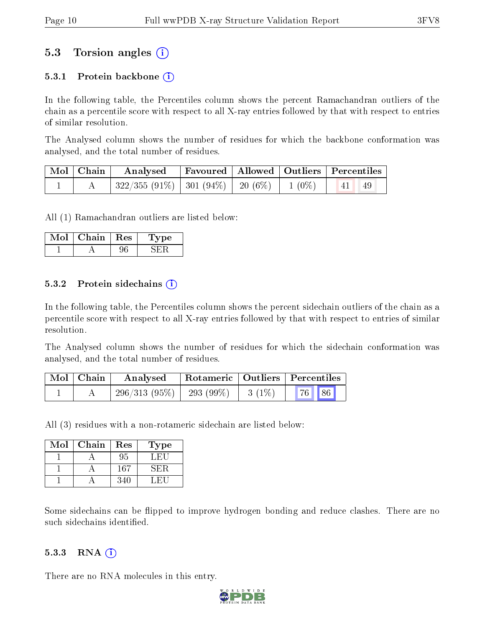#### 5.3 Torsion angles (i)

#### 5.3.1 Protein backbone  $(i)$

In the following table, the Percentiles column shows the percent Ramachandran outliers of the chain as a percentile score with respect to all X-ray entries followed by that with respect to entries of similar resolution.

The Analysed column shows the number of residues for which the backbone conformation was analysed, and the total number of residues.

| $\mid$ Mol $\mid$ Chain $\mid$ | Analysed Favoured   Allowed   Outliers   Percentiles                            |  |  |  |
|--------------------------------|---------------------------------------------------------------------------------|--|--|--|
|                                | $\mid$ 322/355 (91%) $\mid$ 301 (94%) $\mid$ 20 (6%) $\mid$ 1 (0%) $\mid$ 41 49 |  |  |  |

All (1) Ramachandran outliers are listed below:

| Chain | Res | рe |
|-------|-----|----|
|       |     |    |

#### 5.3.2 Protein sidechains  $\hat{I}$

In the following table, the Percentiles column shows the percent sidechain outliers of the chain as a percentile score with respect to all X-ray entries followed by that with respect to entries of similar resolution.

The Analysed column shows the number of residues for which the sidechain conformation was analysed, and the total number of residues.

| Mol   Chain | Rotameric   Outliers   Percentiles<br>Analysed |  |                    |                       |  |
|-------------|------------------------------------------------|--|--------------------|-----------------------|--|
|             | $-296/313(95\%)$ $-293(99\%)$                  |  | $\frac{1}{3}(1\%)$ | $\mid$ 76   86 $\mid$ |  |

All (3) residues with a non-rotameric sidechain are listed below:

| Mol | Chain | Res | Type |
|-----|-------|-----|------|
|     |       | 95  | L.H. |
|     |       | 167 | śН.  |
|     |       |     |      |

Some sidechains can be flipped to improve hydrogen bonding and reduce clashes. There are no such sidechains identified.

#### $5.3.3$  RNA  $(i)$

There are no RNA molecules in this entry.

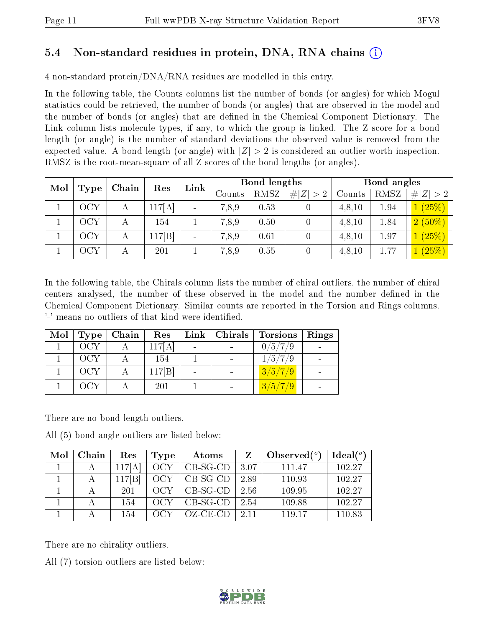### 5.4 Non-standard residues in protein, DNA, RNA chains (i)

4 non-standard protein/DNA/RNA residues are modelled in this entry.

In the following table, the Counts columns list the number of bonds (or angles) for which Mogul statistics could be retrieved, the number of bonds (or angles) that are observed in the model and the number of bonds (or angles) that are dened in the Chemical Component Dictionary. The Link column lists molecule types, if any, to which the group is linked. The Z score for a bond length (or angle) is the number of standard deviations the observed value is removed from the expected value. A bond length (or angle) with  $|Z| > 2$  is considered an outlier worth inspection. RMSZ is the root-mean-square of all Z scores of the bond lengths (or angles).

| Mol |             | Chain | Res   |                          |        |      |                  | Bond lengths |      |           | Bond angles |  |  |
|-----|-------------|-------|-------|--------------------------|--------|------|------------------|--------------|------|-----------|-------------|--|--|
|     | <b>Type</b> |       |       | Link                     | Counts | RMSZ | Z >2<br>#        | Counts       | RMSZ | Z >2<br># |             |  |  |
|     | ЭСҮ         | А     | 17[A] | $\overline{\phantom{a}}$ | 7,8,9  | 0.53 | $\theta$         | 4,8,10       | 1.94 | (25%)     |             |  |  |
|     | ЭCY         |       | 154   |                          | 7,8,9  | 0.50 | $\left( \right)$ | 4, 8, 10     | 1.84 | $2(50\%)$ |             |  |  |
|     | ЭCY         | А     | 17 B  | $\sim$                   | 7,8,9  | 0.61 | $\left( \right)$ | 4, 8, 10     | 1.97 | (25%)     |             |  |  |
|     | OCY         | А     | 201   |                          | 7,8,9  | 0.55 | $\left( \right)$ | 4,8,10       | 1.77 | (25%)     |             |  |  |

In the following table, the Chirals column lists the number of chiral outliers, the number of chiral centers analysed, the number of these observed in the model and the number defined in the Chemical Component Dictionary. Similar counts are reported in the Torsion and Rings columns. '-' means no outliers of that kind were identified.

| Mol | Type  | Chain | Res    |  | $Link \,  $ Chirals $ $ Torsions | Rings |
|-----|-------|-------|--------|--|----------------------------------|-------|
|     | – OCY |       | 117[A] |  | 0/5/7/9                          |       |
|     | - OCY |       | 154    |  | 1/5/7/9                          |       |
|     | OCY   |       | 117 B  |  | 3/5/7/9                          |       |
|     | OCY   |       | 201    |  | 3/5/7/9                          |       |

There are no bond length outliers.

All (5) bond angle outliers are listed below:

| Mol | Chain | Res     | Type | Atoms       |      | Observed $(°)$ | Ideal <sup>(o)</sup> |
|-----|-------|---------|------|-------------|------|----------------|----------------------|
|     |       | 117[A   | OCY  | $CB-SG-CD$  | 3.07 | 111.47         | 102.27               |
|     |       | $117$ B | OCY  | $CB-SG-CD$  | 2.89 | 110.93         | 102.27               |
|     |       | 201     |      | $CB-SG-CD$  | 2.56 | 109.95         | 102.27               |
|     |       | 154     |      | $CB-SG-CD$  | 2.54 | 109.88         | 102.27               |
|     |       | 154     |      | $OZ$ -CE-CD | 2.11 | 119 17         | 110.83               |

There are no chirality outliers.

All (7) torsion outliers are listed below:

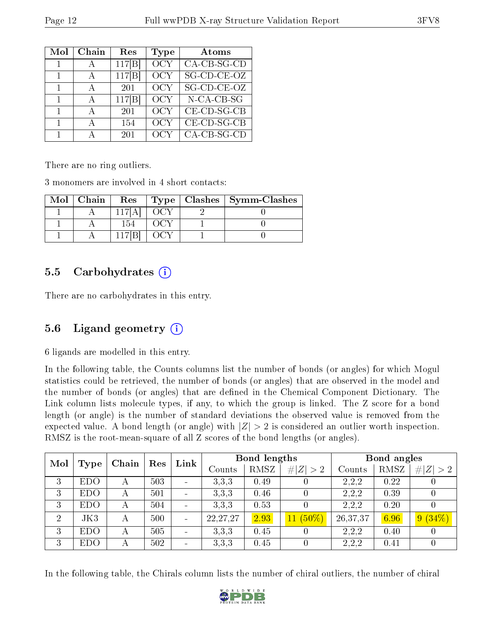| Mol          | Chain | Res    | <b>Type</b> | Atoms                     |
|--------------|-------|--------|-------------|---------------------------|
| 1            |       | 117 B  | OCY         | $CA-CB-SG-CD$             |
|              | А     | 117 B  | OCY         | SG-CD-CE-OZ               |
| 1            | А     | 201    | OCY         | SG-CD-CE-OZ               |
|              | А     | 117[B] | OCY         | N-CA-CB-SG                |
| 1            |       | 201    | OCY         | $CE$ -CD-SG-CB            |
| $\mathbf{1}$ |       | 154    | OCY         | $CE$ - $CD$ - $SG$ - $CB$ |
|              |       | 201    | OCY         | $CA-CB-SG-CD$             |

There are no ring outliers.

3 monomers are involved in 4 short contacts:

| $Mol$   Chain | Res   |  | $Type   Classhes   Symm-Classes$ |
|---------------|-------|--|----------------------------------|
|               |       |  |                                  |
|               | 154   |  |                                  |
|               | 117 B |  |                                  |

#### 5.5 Carbohydrates (i)

There are no carbohydrates in this entry.

### 5.6 Ligand geometry (i)

6 ligands are modelled in this entry.

In the following table, the Counts columns list the number of bonds (or angles) for which Mogul statistics could be retrieved, the number of bonds (or angles) that are observed in the model and the number of bonds (or angles) that are dened in the Chemical Component Dictionary. The Link column lists molecule types, if any, to which the group is linked. The Z score for a bond length (or angle) is the number of standard deviations the observed value is removed from the expected value. A bond length (or angle) with  $|Z| > 2$  is considered an outlier worth inspection. RMSZ is the root-mean-square of all Z scores of the bond lengths (or angles).

| Mol            | <b>Type</b> | Chain | Res | Link                     |            | Bond lengths |             |          | Bond angles |             |  |
|----------------|-------------|-------|-----|--------------------------|------------|--------------|-------------|----------|-------------|-------------|--|
|                |             |       |     |                          | Counts     | RMSZ         | # $ Z  > 2$ | Counts   | RMSZ        | # $ Z  > 2$ |  |
| 3              | <b>EDO</b>  | А     | 503 | $\sim$                   | 3.3.3      | 0.49         |             | 2,2,2    | 0.22        |             |  |
| 3              | <b>EDO</b>  | А     | 501 | $\overline{\phantom{0}}$ | 3,3,3      | 0.46         |             | 2,2,2    | 0.39        |             |  |
| 3              | <b>EDO</b>  | А     | 504 | ÷                        | 3.3.3      | 0.53         |             | 2,2,2    | 0.20        |             |  |
| $\overline{2}$ | JK3         | А     | 500 | $\blacksquare$           | 22, 27, 27 | 2.93         | $11(50\%)$  | 26,37,37 | 6.96        | $9(34\%)$   |  |
| 3              | <b>EDO</b>  | А     | 505 | $\blacksquare$           | 3,3,3      | 0.45         |             | 2,2,2    | 0.40        |             |  |
| 3              | <b>EDO</b>  | А     | 502 | $\overline{\phantom{0}}$ | 3,3,3      | 0.45         |             | 2,2,2    | 0.41        |             |  |

In the following table, the Chirals column lists the number of chiral outliers, the number of chiral

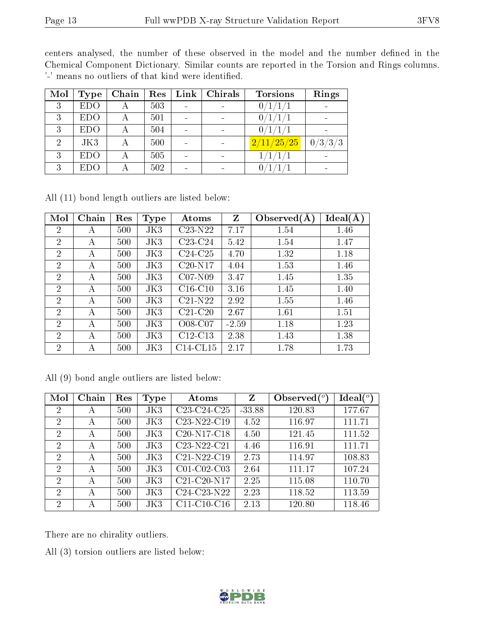centers analysed, the number of these observed in the model and the number defined in the Chemical Component Dictionary. Similar counts are reported in the Torsion and Rings columns. '-' means no outliers of that kind were identified.

| Mol            | Type       | Chain | Res | Link | Chirals | <b>Torsions</b> | Rings   |
|----------------|------------|-------|-----|------|---------|-----------------|---------|
| 3              | <b>EDO</b> |       | 503 |      |         | Ω.              |         |
| 3              | <b>EDO</b> |       | 501 |      |         |                 |         |
| 3              | <b>EDO</b> |       | 504 |      |         | 0 <sub>1</sub>  |         |
| $\overline{2}$ | JK3        | А     | 500 |      |         | 2/11/25/25      | 0/3/3/3 |
| 3              | <b>EDO</b> |       | 505 |      |         | 1/1/1/1         |         |
| 3              | EDO        |       | 502 |      |         |                 |         |

All (11) bond length outliers are listed below:

| Mol                         | Chain | Res | <b>Type</b> | Atoms       | Z       | Observed $(A)$ | Ideal(A) |
|-----------------------------|-------|-----|-------------|-------------|---------|----------------|----------|
| $\overline{2}$              | А     | 500 | JK3         | $C23-N22$   | 7.17    | 1.54           | 1.46     |
| $\overline{2}$              | А     | 500 | JK3         | $C23-C24$   | 5.42    | 1.54           | 1.47     |
| $\overline{2}$              | А     | 500 | JK3         | $C24-C25$   | 4.70    | 1.32           | 1.18     |
| $\overline{2}$              | А     | 500 | JK3         | $C20-N17$   | 4.04    | 1.53           | 1.46     |
| $\overline{2}$              | А     | 500 | JK3         | $C07-N09$   | 3.47    | 1.45           | 1.35     |
| $\overline{2}$              | А     | 500 | JK3         | $C16-C10$   | 3.16    | 1.45           | 1.40     |
| $\overline{2}$              | А     | 500 | JK3         | $C21-N22$   | 2.92    | 1.55           | 1.46     |
| $\mathcal{D}_{\mathcal{A}}$ | A     | 500 | JK3         | $C21-C20$   | 2.67    | 1.61           | 1.51     |
| $\overline{2}$              | А     | 500 | JK3         | O08-C07     | $-2.59$ | 1.18           | 1.23     |
| $\overline{2}$              | А     | 500 | JK3         | $C12-C13$   | 2.38    | 1.43           | 1.38     |
| $\overline{2}$              | А     | 500 | JK3         | $C14$ -CL15 | 2.17    | 1.78           | 1.73     |

|  |  |  |  | All (9) bond angle outliers are listed below: |  |  |  |
|--|--|--|--|-----------------------------------------------|--|--|--|
|--|--|--|--|-----------------------------------------------|--|--|--|

| Mol            | Chain | Res | Type | Atoms                                             | Z        | Observed $\binom{o}{c}$ | Ideal $\binom{o}{c}$ |
|----------------|-------|-----|------|---------------------------------------------------|----------|-------------------------|----------------------|
| 2              | Α     | 500 | JK3  | C <sub>23</sub> -C <sub>24</sub> -C <sub>25</sub> | $-33.88$ | 120.83                  | 177.67               |
| $\overline{2}$ | А     | 500 | JK3  | C <sub>23</sub> -N <sub>22</sub> -C <sub>19</sub> | 4.52     | 116.97                  | 111.71               |
| 2              | А     | 500 | JK3  | C <sub>20</sub> -N <sub>17</sub> -C <sub>18</sub> | 4.50     | 121.45                  | 111.52               |
| $\overline{2}$ | А     | 500 | JK3  | C23-N22-C21                                       | 4.46     | 116.91                  | 111.71               |
| $\overline{2}$ | А     | 500 | JK3  | C21-N22-C19                                       | 2.73     | 114.97                  | 108.83               |
| 2              | А     | 500 | JK3  | $C01-C02-C03$                                     | 2.64     | 111.17                  | 107.24               |
| $\overline{2}$ | А     | 500 | JK3  | $C21-C20-N17$                                     | 2.25     | 115.08                  | 110.70               |
| 2              | А     | 500 | JK3  | $\overline{\text{C}}24-\text{C}23-\text{N}22$     | 2.23     | 118.52                  | 113.59               |
| 2              | А     | 500 | JK3  | $C11-C10-C16$                                     | 2.13     | 120.80                  | 118.46               |

There are no chirality outliers.

All (3) torsion outliers are listed below:

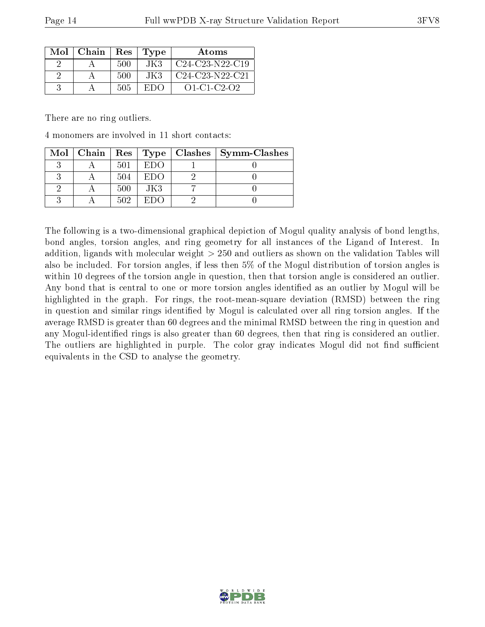| Mol | Chain | Res | Type | Atoms               |
|-----|-------|-----|------|---------------------|
|     |       | 500 | JK3  | $C24-C23-N22-C19$   |
|     |       | 500 | JK3  | $C24-C23-N22-C21$   |
|     |       | 505 | EDC  | $O1 - C1 - C2 - O2$ |

There are no ring outliers.

4 monomers are involved in 11 short contacts:

|  |     |          | Mol   Chain   Res   Type   Clashes   Symm-Clashes |
|--|-----|----------|---------------------------------------------------|
|  | 501 | $E1$ )() |                                                   |
|  | 504 | EDO      |                                                   |
|  | 500 | JK3      |                                                   |
|  | 502 | ETIO)    |                                                   |

The following is a two-dimensional graphical depiction of Mogul quality analysis of bond lengths, bond angles, torsion angles, and ring geometry for all instances of the Ligand of Interest. In addition, ligands with molecular weight > 250 and outliers as shown on the validation Tables will also be included. For torsion angles, if less then 5% of the Mogul distribution of torsion angles is within 10 degrees of the torsion angle in question, then that torsion angle is considered an outlier. Any bond that is central to one or more torsion angles identified as an outlier by Mogul will be highlighted in the graph. For rings, the root-mean-square deviation (RMSD) between the ring in question and similar rings identified by Mogul is calculated over all ring torsion angles. If the average RMSD is greater than 60 degrees and the minimal RMSD between the ring in question and any Mogul-identified rings is also greater than 60 degrees, then that ring is considered an outlier. The outliers are highlighted in purple. The color gray indicates Mogul did not find sufficient equivalents in the CSD to analyse the geometry.

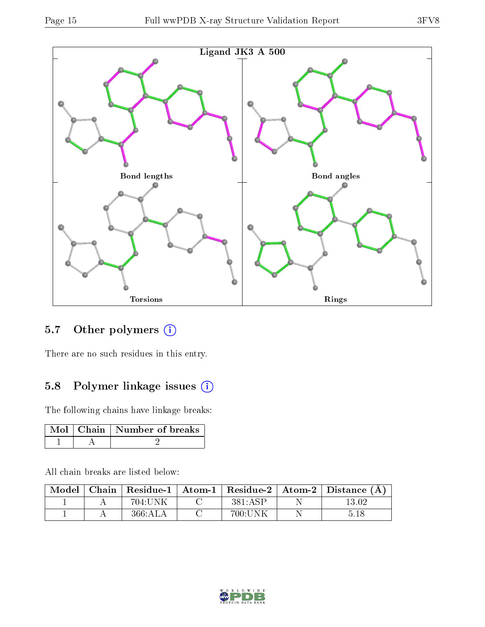

### 5.7 [O](https://www.wwpdb.org/validation/2017/XrayValidationReportHelp#nonstandard_residues_and_ligands)ther polymers (i)

There are no such residues in this entry.

### 5.8 Polymer linkage issues (i)

The following chains have linkage breaks:

|  | Mol   Chain   Number of breaks |
|--|--------------------------------|
|  |                                |

All chain breaks are listed below:

|  |         |         | $\mid$ Model $\mid$ Chain $\mid$ Residue-1 $\mid$ Atom-1 $\mid$ Residue-2 $\mid$ Atom-2 $\mid$ Distance (Å) |
|--|---------|---------|-------------------------------------------------------------------------------------------------------------|
|  | 704:UNK | 381:ASP | 13.02                                                                                                       |
|  | 366:ALA | 700:UNK | 5.18                                                                                                        |

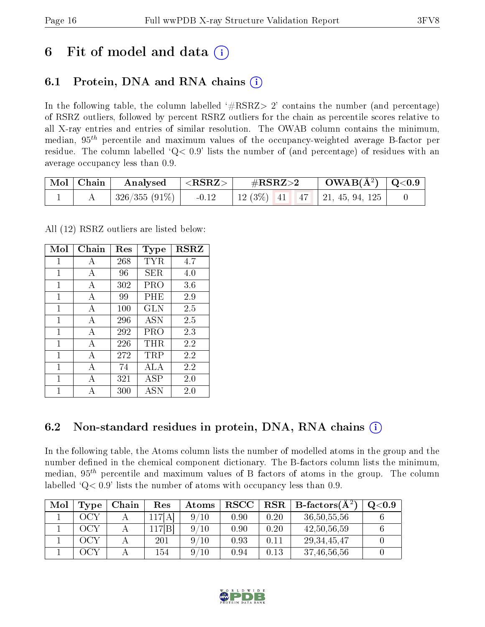## 6 Fit of model and data  $\left( \cdot \right)$

## 6.1 Protein, DNA and RNA chains (i)

In the following table, the column labelled  $#RSRZ>2'$  contains the number (and percentage) of RSRZ outliers, followed by percent RSRZ outliers for the chain as percentile scores relative to all X-ray entries and entries of similar resolution. The OWAB column contains the minimum, median,  $95<sup>th</sup>$  percentile and maximum values of the occupancy-weighted average B-factor per residue. The column labelled  $Q< 0.9$  lists the number of (and percentage) of residues with an average occupancy less than 0.9.

| $\vert$ Mol $\vert$ Chain $\vert$ | $\mid$ Analysed $\mid$ <rsrz> <math>\mid</math></rsrz> | $\rm \#RSRZ{>}2$                    | $\text{OWAB}(\text{A}^2) \mid \text{Q}<0.9$ |  |
|-----------------------------------|--------------------------------------------------------|-------------------------------------|---------------------------------------------|--|
|                                   | $\mid$ 326/355 (91\%) $\mid$ -0.12                     | 12 (3%)   41   47   21, 45, 94, 125 |                                             |  |

All (12) RSRZ outliers are listed below:

| Mol | Chain        | $\operatorname{Res}% \left( \mathcal{N}\right) \equiv\operatorname{Res}(\mathcal{N}_{0})\cap\mathcal{N}_{1}$ | Type       | <b>RSRZ</b> |
|-----|--------------|--------------------------------------------------------------------------------------------------------------|------------|-------------|
| 1   | A            | 268                                                                                                          | TYR        | 4.7         |
| 1   | A            | 96                                                                                                           | SER.       | 4.0         |
| 1   | A            | 302                                                                                                          | PRO        | 3.6         |
| 1   | А            | 99                                                                                                           | PHE        | 2.9         |
| 1   | A            | $100\,$                                                                                                      | <b>GLN</b> | 2.5         |
| 1   | А            | 296                                                                                                          | <b>ASN</b> | 2.5         |
| 1   | $\mathbf{A}$ | 292                                                                                                          | PRO        | 2.3         |
| 1   | A            | 226                                                                                                          | THR.       | 2.2         |
| 1   | А            | 272                                                                                                          | TRP        | 2.2         |
| 1   | A            | 74                                                                                                           | ALA        | 2.2         |
| 1   | А            | 321                                                                                                          | ASP        | 2.0         |
| 1   |              | 300                                                                                                          | <b>ASN</b> | 2.0         |

### 6.2 Non-standard residues in protein, DNA, RNA chains  $(i)$

In the following table, the Atoms column lists the number of modelled atoms in the group and the number defined in the chemical component dictionary. The B-factors column lists the minimum, median,  $95<sup>th</sup>$  percentile and maximum values of B factors of atoms in the group. The column labelled  $Q < 0.9$ ' lists the number of atoms with occupancy less than 0.9.

| Mol | <b>Type</b> | Chain | $\operatorname{Res}% \left( \mathcal{N}\right) \equiv\operatorname{Res}(\mathcal{N}_{0})\cap\mathcal{N}_{1}$ | Atoms   | <b>RSCC</b> | $_{\rm RSR}$ | <b>B</b> -factors( $\AA^2$ ) | $\mathrm{Q}{<}0.9$ |
|-----|-------------|-------|--------------------------------------------------------------------------------------------------------------|---------|-------------|--------------|------------------------------|--------------------|
|     | OCY         |       | 117[A                                                                                                        | 9<br>10 | 0.90        | 0.20         | 36, 50, 55, 56               |                    |
|     | OCY         |       | 117[B]                                                                                                       | 9<br>10 | 0.90        | 0.20         | 42,50,56,59                  |                    |
|     | ACY         |       | 201                                                                                                          | 10<br>Q | 0.93        | $0.11\,$     | 29.34.45.47                  |                    |
|     | WC          |       | 154                                                                                                          | 9<br>10 | 0.94        | 0.13         | 37, 46, 56, 56               |                    |

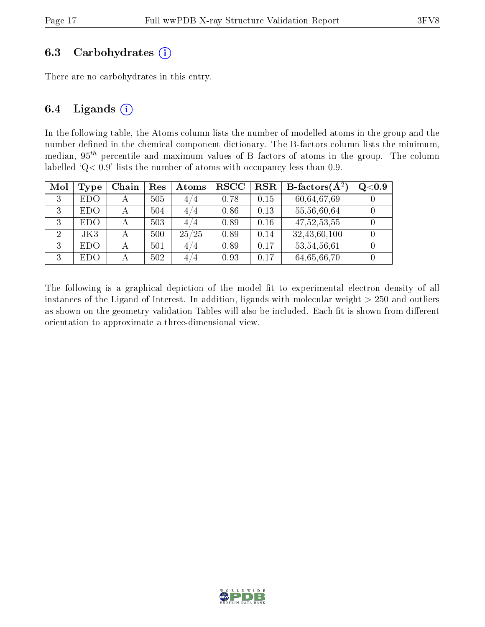#### 6.3 Carbohydrates  $(i)$

There are no carbohydrates in this entry.

#### 6.4 Ligands  $(i)$

In the following table, the Atoms column lists the number of modelled atoms in the group and the number defined in the chemical component dictionary. The B-factors column lists the minimum, median,  $95<sup>th</sup>$  percentile and maximum values of B factors of atoms in the group. The column labelled 'Q< 0.9' lists the number of atoms with occupancy less than 0.9.

| Mol | Type       | Chain | Res | Atoms | $_{\rm RSCC}$ | <b>RSR</b> | <b>B</b> -factors $(\overline{A^2})$ | Q <sub>0.9</sub> |
|-----|------------|-------|-----|-------|---------------|------------|--------------------------------------|------------------|
| 3   | <b>EDO</b> |       | 505 | 4/4   | 0.78          | 0.15       | 60,64,67,69                          |                  |
| 3   | EDO        |       | 504 | 4/4   | 0.86          | 0.13       | 55,56,60,64                          |                  |
| 3   | <b>EDO</b> | А     | 503 | 4/4   | 0.89          | 0.16       | 47, 52, 53, 55                       |                  |
| 2   | JK3        |       | 500 | 25/25 | 0.89          | 0.14       | 32, 43, 60, 100                      |                  |
| 3   | EDO        |       | 501 | 4/4   | 0.89          | 0.17       | 53, 54, 56, 61                       |                  |
| 3   | <b>EDO</b> |       | 502 | 4/4   | 0.93          | 0.17       | 64,65,66,70                          |                  |

The following is a graphical depiction of the model fit to experimental electron density of all instances of the Ligand of Interest. In addition, ligands with molecular weight  $> 250$  and outliers as shown on the geometry validation Tables will also be included. Each fit is shown from different orientation to approximate a three-dimensional view.